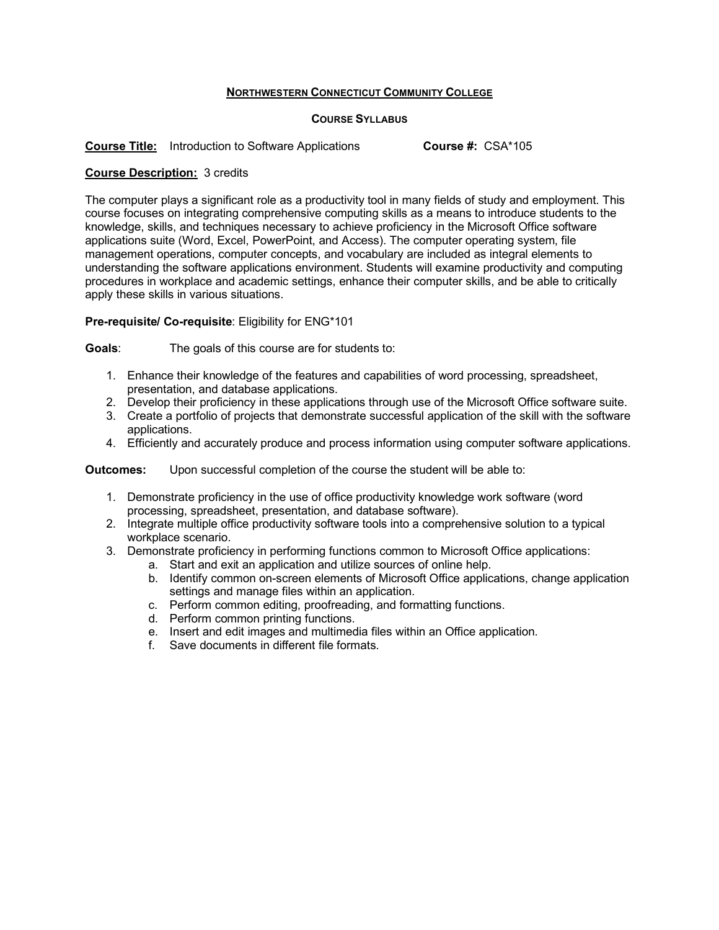## **NORTHWESTERN CONNECTICUT COMMUNITY COLLEGE**

## **COURSE SYLLABUS**

**Course Title:** Introduction to Software Applications **Course #:** CSA\*105

## **Course Description:** 3 credits

The computer plays a significant role as a productivity tool in many fields of study and employment. This course focuses on integrating comprehensive computing skills as a means to introduce students to the knowledge, skills, and techniques necessary to achieve proficiency in the Microsoft Office software applications suite (Word, Excel, PowerPoint, and Access). The computer operating system, file management operations, computer concepts, and vocabulary are included as integral elements to understanding the software applications environment. Students will examine productivity and computing procedures in workplace and academic settings, enhance their computer skills, and be able to critically apply these skills in various situations.

## **Pre-requisite/ Co-requisite**: Eligibility for ENG\*101

**Goals**: The goals of this course are for students to:

- 1. Enhance their knowledge of the features and capabilities of word processing, spreadsheet, presentation, and database applications.
- 2. Develop their proficiency in these applications through use of the Microsoft Office software suite.
- 3. Create a portfolio of projects that demonstrate successful application of the skill with the software applications.
- 4. Efficiently and accurately produce and process information using computer software applications.

**Outcomes:** Upon successful completion of the course the student will be able to:

- 1. Demonstrate proficiency in the use of office productivity knowledge work software (word processing, spreadsheet, presentation, and database software).
- 2. Integrate multiple office productivity software tools into a comprehensive solution to a typical workplace scenario.
- 3. Demonstrate proficiency in performing functions common to Microsoft Office applications:
	- a. Start and exit an application and utilize sources of online help.
	- b. Identify common on-screen elements of Microsoft Office applications, change application settings and manage files within an application.
	- c. Perform common editing, proofreading, and formatting functions.
	- d. Perform common printing functions.
	- e. Insert and edit images and multimedia files within an Office application.
	- f. Save documents in different file formats.